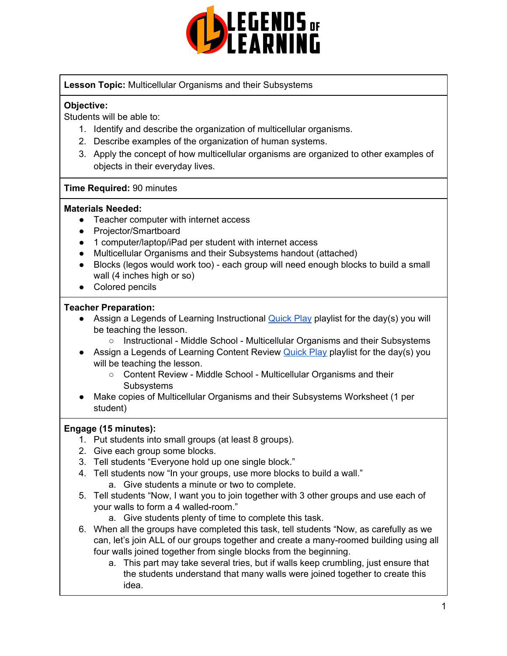

**Lesson Topic:** Multicellular Organisms and their Subsystems

# **Objective:**

Students will be able to:

- 1. Identify and describe the organization of multicellular organisms.
- 2. Describe examples of the organization of human systems.
- 3. Apply the concept of how multicellular organisms are organized to other examples of objects in their everyday lives.

#### **Time Required:** 90 minutes

#### **Materials Needed:**

- Teacher computer with internet access
- Projector/Smartboard
- 1 computer/laptop/iPad per student with internet access
- Multicellular Organisms and their Subsystems handout (attached)
- Blocks (legos would work too) each group will need enough blocks to build a small wall (4 inches high or so)
- Colored pencils

#### **Teacher Preparation:**

- Assign a Legends of Learning Instructional **[Quick](https://intercom.help/legends-of-learning/en/articles/2701866-assigning-a-quick-play-playlist) Play playlist for the day(s)** you will be teaching the lesson.
	- Instructional Middle School Multicellular Organisms and their Subsystems
- Assign a Legends of Learning Content Review [Quick](https://intercom.help/legends-of-learning/en/articles/2701866-assigning-a-quick-play-playlist) Play playlist for the day(s) you will be teaching the lesson.
	- Content Review Middle School Multicellular Organisms and their **Subsystems**
- Make copies of Multicellular Organisms and their Subsystems Worksheet (1 per student)

# **Engage (15 minutes):**

- 1. Put students into small groups (at least 8 groups).
- 2. Give each group some blocks.
- 3. Tell students "Everyone hold up one single block."
- 4. Tell students now "In your groups, use more blocks to build a wall."
	- a. Give students a minute or two to complete.
- 5. Tell students "Now, I want you to join together with 3 other groups and use each of your walls to form a 4 walled-room."
	- a. Give students plenty of time to complete this task.
- 6. When all the groups have completed this task, tell students "Now, as carefully as we can, let's join ALL of our groups together and create a many-roomed building using all four walls joined together from single blocks from the beginning.
	- a. This part may take several tries, but if walls keep crumbling, just ensure that the students understand that many walls were joined together to create this idea.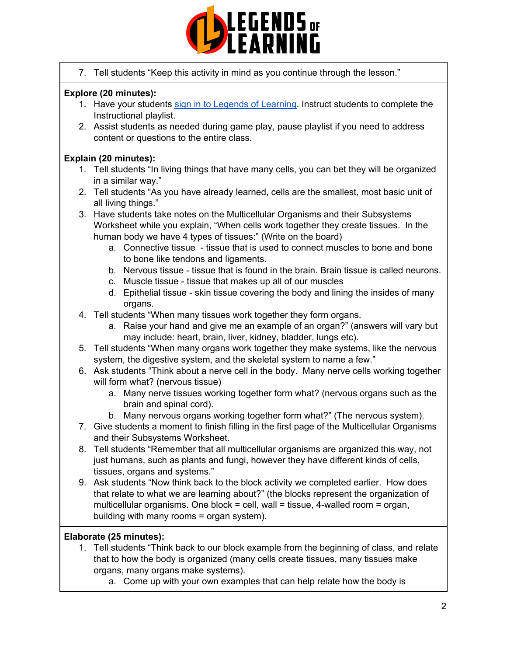

7. Tell students "Keep this activity in mind as you continue through the lesson."

# **Explore (20 minutes):**

- 1. Have your students sign in to Legends of [Learning](https://intercom.help/legends-of-learning/en/articles/2154920-students-joining-a-playlist). Instruct students to complete the Instructional playlist.
- 2. Assist students as needed during game play, pause playlist if you need to address content or questions to the entire class.

# **Explain (20 minutes):**

- 1. Tell students "In living things that have many cells, you can bet they will be organized in a similar way."
- 2. Tell students "As you have already learned, cells are the smallest, most basic unit of all living things."
- 3. Have students take notes on the Multicellular Organisms and their Subsystems Worksheet while you explain, "When cells work together they create tissues. In the human body we have 4 types of tissues:" (Write on the board)
	- a. Connective tissue tissue that is used to connect muscles to bone and bone to bone like tendons and ligaments.
	- b. Nervous tissue tissue that is found in the brain. Brain tissue is called neurons.
	- c. Muscle tissue tissue that makes up all of our muscles
	- d. Epithelial tissue skin tissue covering the body and lining the insides of many organs.
- 4. Tell students "When many tissues work together they form organs.
	- a. Raise your hand and give me an example of an organ?" (answers will vary but may include: heart, brain, liver, kidney, bladder, lungs etc).
- 5. Tell students "When many organs work together they make systems, like the nervous system, the digestive system, and the skeletal system to name a few."
- 6. Ask students "Think about a nerve cell in the body. Many nerve cells working together will form what? (nervous tissue)
	- a. Many nerve tissues working together form what? (nervous organs such as the brain and spinal cord).
	- b. Many nervous organs working together form what?" (The nervous system).
- 7. Give students a moment to finish filling in the first page of the Multicellular Organisms and their Subsystems Worksheet.
- 8. Tell students "Remember that all multicellular organisms are organized this way, not just humans, such as plants and fungi, however they have different kinds of cells, tissues, organs and systems."
- 9. Ask students "Now think back to the block activity we completed earlier. How does that relate to what we are learning about?" (the blocks represent the organization of multicellular organisms. One block  $=$  cell, wall  $=$  tissue, 4-walled room  $=$  organ, building with many rooms = organ system).

# **Elaborate (25 minutes):**

- 1. Tell students "Think back to our block example from the beginning of class, and relate that to how the body is organized (many cells create tissues, many tissues make organs, many organs make systems).
	- a. Come up with your own examples that can help relate how the body is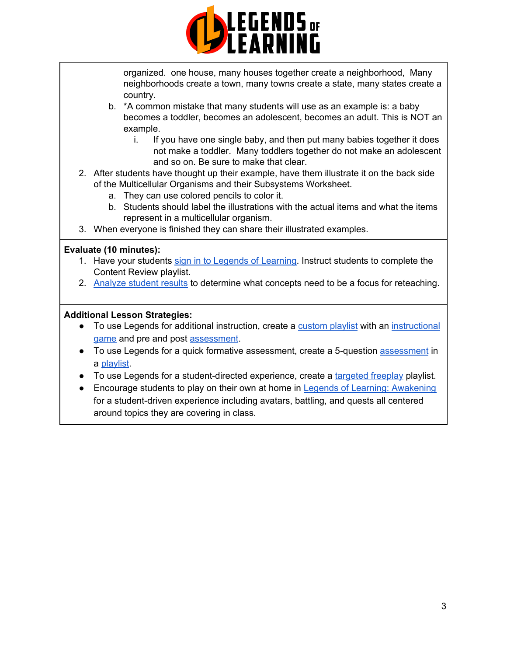

organized. one house, many houses together create a neighborhood, Many neighborhoods create a town, many towns create a state, many states create a country.

- b. \*A common mistake that many students will use as an example is: a baby becomes a toddler, becomes an adolescent, becomes an adult. This is NOT an example.
	- i. If you have one single baby, and then put many babies together it does not make a toddler. Many toddlers together do not make an adolescent and so on. Be sure to make that clear.
- 2. After students have thought up their example, have them illustrate it on the back side of the Multicellular Organisms and their Subsystems Worksheet.
	- a. They can use colored pencils to color it.
	- b. Students should label the illustrations with the actual items and what the items represent in a multicellular organism.
- 3. When everyone is finished they can share their illustrated examples.

#### **Evaluate (10 minutes):**

- 1. Have your students sign in to Legends of [Learning](https://intercom.help/legends-of-learning/en/articles/2154920-students-joining-a-playlist). Instruct students to complete the Content Review playlist.
- 2. [Analyze](https://intercom.help/legends-of-learning/en/articles/2154918-tracking-student-progress-and-performance) student results to determine what concepts need to be a focus for reteaching.

#### **Additional Lesson Strategies:**

- To use Legends for additional instruction, create a [custom](https://intercom.help/legends-of-learning/en/articles/2154910-creating-a-playlist) playlist with an [instructional](https://intercom.help/legends-of-learning/en/articles/3505828-types-of-games) [game](https://intercom.help/legends-of-learning/en/articles/3505828-types-of-games) and pre and post [assessment](https://intercom.help/legends-of-learning/en/articles/2154913-adding-assessments-to-a-playlist).
- To use Legends for a quick formative [assessment](https://intercom.help/legends-of-learning/en/articles/2154913-adding-assessments-to-a-playlist), create a 5-question assessment in a [playlist](https://intercom.help/legends-of-learning/en/articles/2154910-creating-a-playlist).
- To use Legends for a student-directed experience, create a [targeted](https://intercom.help/legends-of-learning/en/articles/3340814-targeted-freeplay) freeplay playlist.
- Encourage students to play on their own at home in Legends of Learning: [Awakening](https://intercom.help/legends-of-learning/en/articles/2425490-legends-of-learning-awakening) for a student-driven experience including avatars, battling, and quests all centered around topics they are covering in class.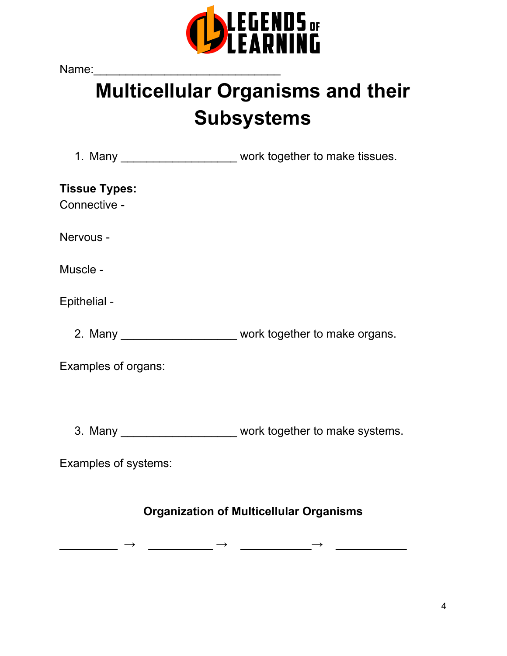

Name:

# **Multicellular Organisms and their Subsystems**

1. Many \_\_\_\_\_\_\_\_\_\_\_\_\_\_\_\_\_\_\_\_\_\_ work together to make tissues.

**Tissue Types:** Connective -

Nervous -

Muscle -

Epithelial -

2. Many \_\_\_\_\_\_\_\_\_\_\_\_\_\_\_\_\_\_\_\_\_\_ work together to make organs.

Examples of organs:

3. Many \_\_\_\_\_\_\_\_\_\_\_\_\_\_\_\_\_\_ work together to make systems.

Examples of systems:

# **Organization of Multicellular Organisms**

\_\_\_\_\_\_\_\_\_ → \_\_\_\_\_\_\_\_\_\_ → \_\_\_\_\_\_\_\_\_\_\_→ \_\_\_\_\_\_\_\_\_\_\_